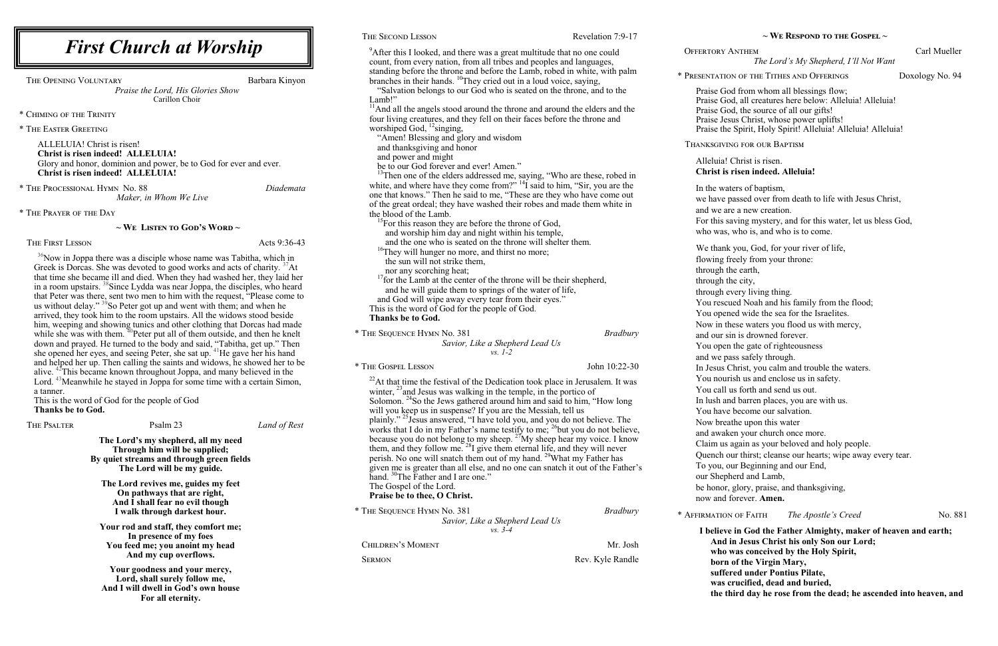ERTORY ANTHEM Carl Mueller *The Lord's My Shepherd, I'll Not Want*

ENTATION OF THE TITHES AND OFFERINGS Doxology No. 94

raise God from whom all blessings flow; Praise God, all creatures here below: Alleluia! Alleluia! Praise God, the source of all our gifts! Praise Jesus Christ, whose power uplifts! Praise the Spirit, Holy Spirit! Alleluia! Alleluia! Alleluia!

NKSGIVING FOR OUR BAPTISM

**~ We Respond to the Gospel ~**

#### Alleluia! Christ is risen. **Christ is risen indeed. Alleluia!**

n the waters of baptism,

we have passed over from death to life with Jesus Christ,

nd we are a new creation.

or this saving mystery, and for this water, let us bless God,

who was, who is, and who is to come.

We thank you, God, for your river of life,

lowing freely from your throne:

the earth,

the city,

through every living thing.

|                                                                                                                                                                       |              | THE SECOND LESSON                                                                                                                                                   | Revelation 7:9-17 |                |
|-----------------------------------------------------------------------------------------------------------------------------------------------------------------------|--------------|---------------------------------------------------------------------------------------------------------------------------------------------------------------------|-------------------|----------------|
| <b>First Church at Worship</b><br>THE OPENING VOLUNTARY<br>Barbara Kinyon<br>Praise the Lord, His Glories Show<br>Carillon Choir                                      |              | <sup>9</sup> After this I looked, and there was a great multitude that no one could<br>count, from every nation, from all tribes and peoples and languages,         |                   | OFFE           |
|                                                                                                                                                                       |              | standing before the throne and before the Lamb, robed in white, with palm<br>branches in their hands. <sup>10</sup> They cried out in a loud voice, saying,         |                   | * PRES         |
|                                                                                                                                                                       |              | "Salvation belongs to our God who is seated on the throne, and to the                                                                                               |                   | $\mathbf{P}$   |
|                                                                                                                                                                       |              | Lamb!"<br><sup>11</sup> And all the angels stood around the throne and around the elders and the                                                                    |                   | $\mathbf{P}$   |
| * CHIMING OF THE TRINITY                                                                                                                                              |              | four living creatures, and they fell on their faces before the throne and                                                                                           |                   |                |
| * THE EASTER GREETING                                                                                                                                                 |              | worshiped God, $^{12}$ singing,                                                                                                                                     |                   | P              |
| ALLELUIA! Christ is risen!<br><b>Christ is risen indeed! ALLELUIA!</b>                                                                                                |              | "Amen! Blessing and glory and wisdom<br>and thanksgiving and honor                                                                                                  |                   | THA:           |
| Glory and honor, dominion and power, be to God for ever and ever.                                                                                                     |              | and power and might<br>be to our God forever and ever! Amen."                                                                                                       |                   | A              |
| Christ is risen indeed! ALLELUIA!                                                                                                                                     |              | <sup>13</sup> Then one of the elders addressed me, saying, "Who are these, robed in                                                                                 |                   | $\mathbf C$    |
| * THE PROCESSIONAL HYMN No. 88                                                                                                                                        | Diademata    | white, and where have they come from?" $^{14}I$ said to him, "Sir, you are the                                                                                      |                   | $\mathbf{I}$   |
| Maker, in Whom We Live                                                                                                                                                |              | one that knows." Then he said to me, "These are they who have come out                                                                                              |                   | W              |
| * THE PRAYER OF THE DAY                                                                                                                                               |              | of the great ordeal; they have washed their robes and made them white in<br>the blood of the Lamb.                                                                  |                   | a              |
|                                                                                                                                                                       |              | <sup>15</sup> For this reason they are before the throne of God,                                                                                                    |                   | F              |
| $\sim$ We Listen to God's Word $\sim$                                                                                                                                 |              | and worship him day and night within his temple,                                                                                                                    |                   | W              |
| THE FIRST LESSON                                                                                                                                                      | Acts 9:36-43 | and the one who is seated on the throne will shelter them.                                                                                                          |                   |                |
| <sup>36</sup> Now in Joppa there was a disciple whose name was Tabitha, which in                                                                                      |              | <sup>16</sup> They will hunger no more, and thirst no more;<br>the sun will not strike them,                                                                        |                   | fl             |
| Greek is Dorcas. She was devoted to good works and acts of charity. <sup>37</sup> At                                                                                  |              | nor any scorching heat;                                                                                                                                             |                   | th             |
| that time she became ill and died. When they had washed her, they laid her                                                                                            |              | $17$ for the Lamb at the center of the throne will be their shepherd,                                                                                               |                   |                |
| in a room upstairs. <sup>38</sup> Since Lydda was near Joppa, the disciples, who heard<br>that Peter was there, sent two men to him with the request, "Please come to |              | and he will guide them to springs of the water of life,                                                                                                             |                   |                |
| us without delay." <sup>39</sup> So Peter got up and went with them; and when he                                                                                      |              | and God will wipe away every tear from their eyes."                                                                                                                 |                   |                |
| arrived, they took him to the room upstairs. All the widows stood beside                                                                                              |              | This is the word of God for the people of God.<br>Thanks be to God.                                                                                                 |                   | Y              |
| him, weeping and showing tunics and other clothing that Dorcas had made                                                                                               |              |                                                                                                                                                                     |                   | N              |
| while she was with them. <sup>40</sup> Peter put all of them outside, and then he knelt                                                                               |              | * THE SEQUENCE HYMN No. 381                                                                                                                                         | <b>Bradbury</b>   | a <sub>1</sub> |
| down and prayed. He turned to the body and said, "Tabitha, get up." Then<br>she opened her eyes, and seeing Peter, she sat up. <sup>41</sup> He gave her his hand     |              | Savior, Like a Shepherd Lead Us<br>$vs. 1-2$                                                                                                                        |                   | Y              |
| and helped her up. Then calling the saints and widows, he showed her to be                                                                                            |              |                                                                                                                                                                     | John 10:22-30     | a <sub>1</sub> |
| alive. <sup>42</sup> This became known throughout Joppa, and many believed in the                                                                                     |              | * THE GOSPEL LESSON                                                                                                                                                 |                   | $\mathbf{I}$   |
| Lord. <sup>43</sup> Meanwhile he stayed in Joppa for some time with a certain Simon,                                                                                  |              | $^{22}$ At that time the festival of the Dedication took place in Jerusalem. It was                                                                                 |                   | Y              |
| a tanner.<br>This is the word of God for the people of God                                                                                                            |              | winter, $^{23}$ and Jesus was walking in the temple, in the portico of<br>Solomon. <sup>24</sup> So the Jews gathered around him and said to him, "How long         |                   | $\ln$          |
| <b>Thanks be to God.</b>                                                                                                                                              |              | will you keep us in suspense? If you are the Messiah, tell us                                                                                                       |                   |                |
| Psalm 23<br>THE PSALTER                                                                                                                                               |              | plainly." <sup>25</sup> Jesus answered, "I have told you, and you do not believe. The                                                                               |                   | N              |
|                                                                                                                                                                       | Land of Rest | works that I do in my Father's name testify to me; <sup>26</sup> but you do not believe,                                                                            |                   | a <sub>1</sub> |
| The Lord's my shepherd, all my need<br>Through him will be supplied;<br>By quiet streams and through green fields                                                     |              | because you do not belong to my sheep. $27$ My sheep hear my voice. I know<br>them, and they follow me. <sup>28</sup> I give them eternal life, and they will never |                   |                |
|                                                                                                                                                                       |              | perish. No one will snatch them out of my hand. <sup>29</sup> What my Father has                                                                                    |                   | Q              |
| The Lord will be my guide.                                                                                                                                            |              | given me is greater than all else, and no one can snatch it out of the Father's                                                                                     |                   |                |
|                                                                                                                                                                       |              | hand. <sup>30</sup> The Father and I are one."                                                                                                                      |                   | $\mathbf{O}$   |
| The Lord revives me, guides my feet<br>On pathways that are right,                                                                                                    |              | The Gospel of the Lord.                                                                                                                                             |                   | $\mathbf{b}$   |
| And I shall fear no evil though                                                                                                                                       |              | Praise be to thee, O Christ.                                                                                                                                        |                   | $\mathbf{n}$   |
| I walk through darkest hour.                                                                                                                                          |              | * THE SEQUENCE HYMN No. 381                                                                                                                                         | <b>Bradbury</b>   | $*$ AFFI       |
| Your rod and staff, they comfort me;                                                                                                                                  |              | Savior, Like a Shepherd Lead Us<br>$vs. 3-4$                                                                                                                        |                   |                |
| In presence of my foes                                                                                                                                                |              |                                                                                                                                                                     |                   |                |
| You feed me; you anoint my head                                                                                                                                       |              | CHILDREN'S MOMENT                                                                                                                                                   | Mr. Josh          |                |
| And my cup overflows.                                                                                                                                                 |              | <b>SERMON</b>                                                                                                                                                       | Rev. Kyle Randle  |                |
| Your goodness and your mercy,<br>Lord, shall surely follow me,<br>And I will dwell in God's own house<br>For all eternity.                                            |              |                                                                                                                                                                     |                   |                |

You rescued Noah and his family from the flood;

You opened wide the sea for the Israelites.

Now in these waters you flood us with mercy,

and our sin is drowned forever.

You open the gate of righteousness

and we pass safely through.

In Jesus Christ, you calm and trouble the waters.

You nourish us and enclose us in safety.

You call us forth and send us out.

n lush and barren places, you are with us.

You have become our salvation.

Now breathe upon this water

and awaken your church once more.

Claim us again as your beloved and holy people.

Quench our thirst; cleanse our hearts; wipe away every tear.

o you, our Beginning and our End,

ur Shepherd and Lamb,

be honor, glory, praise, and thanksgiving,

ow and forever. **Amen.** 

\* **AFFIRMATION OF FAITH** *The Apostle's Creed* No. 881

**I believe in God the Father Almighty, maker of heaven and earth; And in Jesus Christ his only Son our Lord; who was conceived by the Holy Spirit, born of the Virgin Mary, suffered under Pontius Pilate, was crucified, dead and buried, the third day he rose from the dead; he ascended into heaven, and**